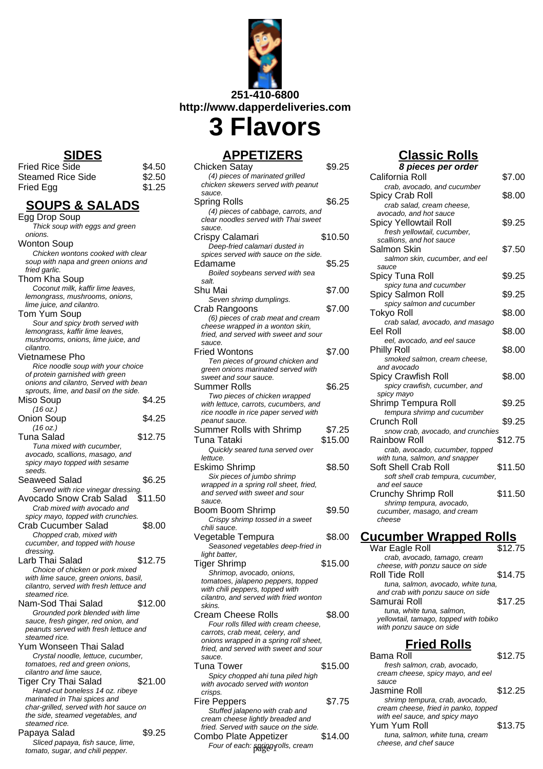

## **APPETIZERS**

| TEIKERJ                                                                   |         |
|---------------------------------------------------------------------------|---------|
| Chicken Satay                                                             | \$9.25  |
| (4) pieces of marinated grilled                                           |         |
| chicken skewers served with peanut                                        |         |
| sauce.                                                                    |         |
| Spring Rolls                                                              | \$6.25  |
|                                                                           |         |
| (4) pieces of cabbage, carrots, and                                       |         |
| clear noodles served with Thai sweet                                      |         |
| sauce.                                                                    |         |
| Crispy Calamari                                                           | \$10.50 |
| Deep-fried calamari dusted in                                             |         |
| spices served with sauce on the side.                                     |         |
| Edamame                                                                   | \$5.25  |
| Boiled soybeans served with sea                                           |         |
| salt.                                                                     |         |
| Shu Mai                                                                   | \$7.00  |
|                                                                           |         |
| Seven shrimp dumplings.                                                   |         |
| Crab Rangoons                                                             | \$7.00  |
| (6) pieces of crab meat and cream                                         |         |
| cheese wrapped in a wonton skin,                                          |         |
| fried, and served with sweet and sour                                     |         |
| sauce.                                                                    |         |
| <b>Fried Wontons</b>                                                      | \$7.00  |
| Ten pieces of ground chicken and                                          |         |
| green onions marinated served with                                        |         |
| sweet and sour sauce.                                                     |         |
|                                                                           |         |
| Summer Rolls                                                              | \$6.25  |
| Two pieces of chicken wrapped                                             |         |
| with lettuce, carrots, cucumbers, and                                     |         |
| rice noodle in rice paper served with                                     |         |
| peanut sauce.                                                             |         |
| Summer Rolls with Shrimp                                                  | \$7.25  |
| Tuna Tataki                                                               | \$15.00 |
|                                                                           |         |
| Quickly seared tuna served over                                           |         |
| lettuce.                                                                  |         |
| Eskimo Shrimp                                                             | \$8.50  |
| Six pieces of jumbo shrimp                                                |         |
| wrapped in a spring roll sheet, fried,                                    |         |
| and served with sweet and sour                                            |         |
| sauce.                                                                    |         |
| Boom Boom Shrimp                                                          | \$9.50  |
| Crispy shrimp tossed in a sweet                                           |         |
| chili sauce.                                                              |         |
|                                                                           |         |
| Vegetable Tempura                                                         | \$8.00  |
| Seasoned vegetables deep-fried in                                         |         |
| light batter,                                                             |         |
| <b>Tiger Shrimp</b>                                                       | \$15.00 |
| Shrimop, avocado, onions,                                                 |         |
| tomatoes, jalapeno peppers, topped                                        |         |
| with chili peppers, topped with                                           |         |
| cilantro, and served with fried wonton                                    |         |
| skins.                                                                    |         |
| <b>Cream Cheese Rolls</b>                                                 | \$8.00  |
|                                                                           |         |
| Four rolls filled with cream cheese,                                      |         |
| carrots, crab meat, celery, and                                           |         |
| onions wrapped in a spring roll sheet,                                    |         |
| fried, and served with sweet and sour                                     |         |
| sauce.                                                                    |         |
| Tuna Tower                                                                | \$15.00 |
| Spicy chopped ahi tuna piled high                                         |         |
| with avocado served with wonton                                           |         |
| crisps.                                                                   |         |
| <b>Fire Peppers</b>                                                       |         |
|                                                                           |         |
|                                                                           | \$7.75  |
| Stuffed jalapeno with crab and                                            |         |
| cream cheese lightly breaded and<br>fried. Served with sauce on the side. |         |

#### Combo Plate Appetizer \$14.00 Four of each:  $\frac{1}{2}$  surface is a cheese, and chef sauce

# **Classic Rolls**

| 8 pieces per order                          |         |
|---------------------------------------------|---------|
| California Roll                             | \$7.00  |
| crab, avocado, and cucumber                 |         |
| Spicy Crab Roll                             | \$8.00  |
| crab salad, cream cheese,                   |         |
| avocado, and hot sauce                      |         |
| Spicy Yellowtail Roll                       | \$9.25  |
| fresh yellowtail, cucumber,                 |         |
| scallions, and hot sauce<br>Salmon Skin     | \$7.50  |
| salmon skin, cucumber, and eel              |         |
| sauce                                       |         |
| Spicy Tuna Roll                             | \$9.25  |
| spicy tuna and cucumber                     |         |
| Spicy Salmon Roll                           | \$9.25  |
| spicy salmon and cucumber                   |         |
| Tokyo Roll                                  | \$8.00  |
| crab salad, avocado, and masago             |         |
| Eel Roll                                    | \$8.00  |
| eel, avocado, and eel sauce                 |         |
| <b>Philly Roll</b>                          | \$8.00  |
| smoked salmon, cream cheese,                |         |
| and avocado                                 |         |
| Spicy Crawfish Roll                         | \$8.00  |
| spicy crawfish, cucumber, and<br>spicy mayo |         |
| Shrimp Tempura Roll                         | \$9.25  |
| tempura shrimp and cucumber                 |         |
| Crunch Roll                                 | \$9.25  |
| snow crab, avocado, and crunchies           |         |
| Rainbow Roll                                | \$12.75 |
| crab, avocado, cucumber, topped             |         |
| with tuna, salmon, and snapper              |         |
| Soft Shell Crab Roll                        | \$11.50 |
| soft shell crab tempura, cucumber,          |         |
| and eel sauce                               |         |
| <b>Crunchy Shrimp Roll</b>                  | \$11.50 |
| shrimp tempura, avocado,                    |         |
| cucumber, masago, and cream<br>cheese       |         |
|                                             |         |
| <u> Cucumber Wrapped Rolls</u>              |         |
| War Fagle Roll                              | \$12 75 |

| War Eagle Roll                         | \$12.75 |
|----------------------------------------|---------|
| crab, avocado, tamago, cream           |         |
| cheese, with ponzu sauce on side       |         |
| Roll Tide Roll                         | \$14.75 |
| tuna, salmon, avocado, white tuna,     |         |
| and crab with ponzu sauce on side      |         |
| Samurai Roll                           | \$17.25 |
| tuna, white tuna, salmon,              |         |
| yellowtail, tamago, topped with tobiko |         |
| with ponzu sauce on side               |         |

# **Fried Rolls**

| Bama Roll                            | \$12.75 |
|--------------------------------------|---------|
| fresh salmon, crab, avocado,         |         |
| cream cheese, spicy mayo, and eel    |         |
| sauce                                |         |
| Jasmine Roll                         | \$12.25 |
| shrimp tempura, crab, avocado,       |         |
| cream cheese, fried in panko, topped |         |
| with eel sauce, and spicy mayo       |         |
| Yum Yum Roll                         | \$13.75 |
| tuna, salmon, white tuna, cream      |         |
| cheese, and chef sauce               |         |
|                                      |         |

# **SIDES**

| <b>Fried Rice Side</b> | \$4.50 |
|------------------------|--------|
| Steamed Rice Side      | \$2.50 |
| Fried Egg              | \$1.25 |

| <b>SOUPS &amp; SALADS</b>                                                    |         |
|------------------------------------------------------------------------------|---------|
| Egg Drop Soup                                                                |         |
| Thick soup with eggs and green<br>onions.                                    |         |
| Wonton Soup                                                                  |         |
| Chicken wontons cooked with clear                                            |         |
| soup with napa and green onions and<br>fried garlic.                         |         |
| Thom Kha Soup                                                                |         |
| Coconut milk, kaffir lime leaves,                                            |         |
| lemongrass, mushrooms, onions,                                               |         |
| lime juice, and cilantro.<br>Tom Yum Soup                                    |         |
| Sour and spicy broth served with                                             |         |
| lemongrass, kaffir lime leaves,                                              |         |
| mushrooms, onions, lime juice, and<br>cilantro.                              |         |
| Vietnamese Pho                                                               |         |
| Rice noodle soup with your choice                                            |         |
| of protein garnished with green<br>onions and cilantro, Served with bean     |         |
| sprouts, lime, and basil on the side.                                        |         |
| Miso Soup                                                                    | \$4.25  |
| (16 oz.)                                                                     |         |
| <b>Onion Soup</b>                                                            | \$4.25  |
| (16 oz.)<br><b>Tuna Salad</b>                                                | \$12.75 |
| Tuna mixed with cucumber,                                                    |         |
| avocado, scallions, masago, and                                              |         |
| spicy mayo topped with sesame<br>seeds.                                      |         |
| Seaweed Salad                                                                | \$6.25  |
| Served with rice vinegar dressing.                                           |         |
| Avocado Snow Crab Salad                                                      | \$11.50 |
| Crab mixed with avocado and<br>spicy mayo, topped with crunchies.            |         |
| <b>Crab Cucumber Salad</b>                                                   | \$8.00  |
| Chopped crab, mixed with                                                     |         |
| cucumber, and topped with house                                              |         |
| dressing.<br>Larb Thai Salad                                                 | \$12.75 |
| Choice of chicken or pork mixed                                              |         |
| with lime sauce, green onions, basil,                                        |         |
| cilantro, served with fresh lettuce and<br>steamed rice.                     |         |
| Nam-Sod Thai Salad                                                           | \$12.00 |
| Grounded pork blended with lime                                              |         |
| sauce, fresh ginger, red onion, and<br>peanuts served with fresh lettuce and |         |
| steamed rice.                                                                |         |
| Yum Wonseen Thai Salad                                                       |         |
| Crystal noodle, lettuce, cucumber,<br>tomatoes, red and green onions,        |         |
| cilantro and lime sauce.                                                     |         |
| <b>Tiger Cry Thai Salad</b>                                                  | \$21.00 |
| Hand-cut boneless 14 oz. ribeye<br>marinated in Thai spices and              |         |
| char-grilled, served with hot sauce on                                       |         |
| the side, steamed vegetables, and                                            |         |
| steamed rice.                                                                |         |
| Papaya Salad<br>Sliced papaya, fish sauce, lime,                             | \$9.25  |
| tomato, sugar, and chili pepper.                                             |         |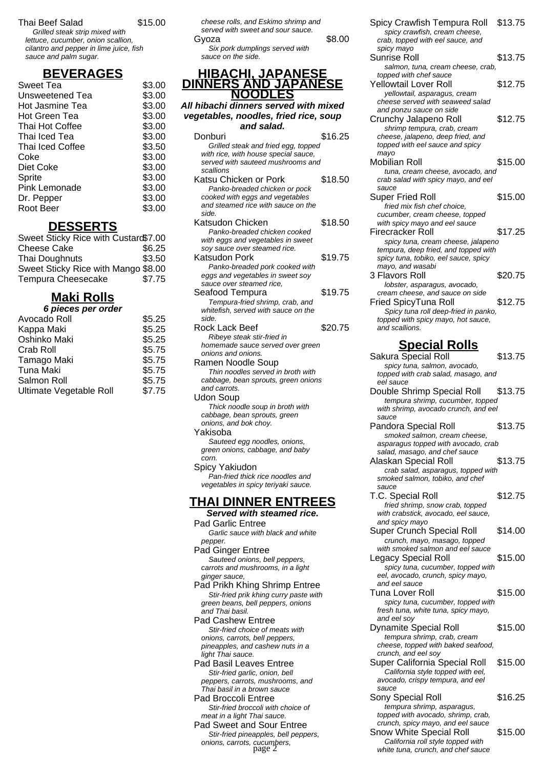#### Thai Beef Salad \$15.00

Grilled steak strip mixed with lettuce, cucumber, onion scallion, cilantro and pepper in lime juice, fish sauce and palm sugar.

# **BEVERAGES**

| Sweet Tea        | \$3.00 |
|------------------|--------|
| Unsweetened Tea  | \$3.00 |
| Hot Jasmine Tea  | \$3.00 |
| Hot Green Tea    | \$3.00 |
| Thai Hot Coffee  | \$3.00 |
| Thai Iced Tea    | \$3.00 |
| Thai Iced Coffee | \$3.50 |
| Coke             | \$3.00 |
| Diet Coke        | \$3.00 |
| Sprite           | \$3.00 |
| Pink Lemonade    | \$3.00 |
| Dr. Pepper       | \$3.00 |
| Root Beer        | \$3.00 |
|                  |        |

### **DESSERTS**

| Sweet Sticky Rice with Custard\$7.00 |        |
|--------------------------------------|--------|
| <b>Cheese Cake</b>                   | \$6.25 |
| Thai Doughnuts                       | \$3.50 |
| Sweet Sticky Rice with Mango \$8.00  |        |
| <b>Tempura Cheesecake</b>            | \$7.75 |

## **Maki Rolls**

| 6 pieces per order      |        |
|-------------------------|--------|
| Avocado Roll            | \$5.25 |
| Kappa Maki              | \$5.25 |
| Oshinko Maki            | \$5.25 |
| Crab Roll               | \$5.75 |
| Tamago Maki             | \$5.75 |
| <b>Tuna Maki</b>        | \$5.75 |
| Salmon Roll             | \$5.75 |
| Ultimate Vegetable Roll | \$7.75 |
|                         |        |

| cheese rolls, and Eskimo shrimp and<br>served with sweet and sour sauce.<br>Gvoza | \$8.00 |
|-----------------------------------------------------------------------------------|--------|
| Six pork dumplings served with                                                    |        |
| sauce on the side.                                                                |        |

#### **HIBACHI, JAPANESE DINNERS AND JAPANESE NOODLES**

### **All hibachi dinners served with mixed vegetables, noodles, fried rice, soup**

| and salad.                                                            |         |
|-----------------------------------------------------------------------|---------|
| Donburi                                                               | \$16.25 |
| Grilled steak and fried egg, topped                                   |         |
| with rice, with house special sauce,                                  |         |
| served with sauteed mushrooms and                                     |         |
| scallions                                                             |         |
| Katsu Chicken or Pork                                                 | \$18.50 |
| Panko-breaded chicken or pock                                         |         |
| cooked with eggs and vegetables<br>and steamed rice with sauce on the |         |
| side.                                                                 |         |
| Katsudon Chicken                                                      | \$18.50 |
| Panko-breaded chicken cooked                                          |         |
| with eggs and vegetables in sweet                                     |         |
| soy sauce over steamed rice.                                          |         |
| Katsudon Pork                                                         | \$19.75 |
| Panko-breaded pork cooked with                                        |         |
| eggs and vegetables in sweet soy                                      |         |
| sauce over steamed rice.                                              |         |
| Seafood Tempura                                                       | \$19.75 |
| Tempura-fried shrimp, crab, and                                       |         |
| whitefish, served with sauce on the<br>side.                          |         |
| Rock Lack Beef                                                        | \$20.75 |
| Ribeye steak stir-fried in                                            |         |
| homemade sauce served over green                                      |         |
| onions and onions.                                                    |         |
| Ramen Noodle Soup                                                     |         |
| Thin noodles served in broth with                                     |         |
| cabbage, bean sprouts, green onions                                   |         |
| and carrots.                                                          |         |
| Udon Soup                                                             |         |
| Thick noodle soup in broth with                                       |         |
| cabbage, bean sprouts, green                                          |         |
| onions, and bok choy.                                                 |         |
| Yakisoba                                                              |         |

Sauteed egg noodles, onions, green onions, cabbage, and baby corn.

Spicy Yakiudon Pan-fried thick rice noodles and vegetables in spicy teriyaki sauce.

## **THAI DINNER ENTREES**

#### **Served with steamed rice.** Pad Garlic Entree

Garlic sauce with black and white pepper.

Pad Ginger Entree Sauteed onions, bell peppers, carrots and mushrooms, in a light ginger sauce,

Pad Prikh Khing Shrimp Entree Stir-fried prik khing curry paste with green beans, bell peppers, onions and Thai basil.

Pad Cashew Entree Stir-fried choice of meats with onions, carrots, bell peppers, pineapples, and cashew nuts in a light Thai sauce.

Pad Basil Leaves Entree Stir-fried garlic, onion, bell peppers, carrots, mushrooms, and Thai basil in a brown sauce

#### Pad Broccoli Entree Stir-fried broccoli with choice of

meat in a light Thai sauce. Pad Sweet and Sour Entree Stir-fried pineapples, bell peppers, onions, carrots, cucumbers,

| Spicy Crawfish Tempura Roll<br>spicy crawfish, cream cheese,<br>crab, topped with eel sauce, and | \$13.75 |
|--------------------------------------------------------------------------------------------------|---------|
| spicy mayo                                                                                       | \$13.75 |
| Sunrise Roll                                                                                     |         |
| salmon, tuna, cream cheese, crab,                                                                |         |
| topped with chef sauce                                                                           |         |
| <b>Yellowtail Lover Roll</b>                                                                     | \$12.75 |
| yellowtail, asparagus, cream                                                                     |         |
| cheese served with seaweed salad                                                                 |         |
| and ponzu sauce on side                                                                          |         |
| Crunchy Jalapeno Roll                                                                            | \$12.75 |
| shrimp tempura, crab, cream                                                                      |         |
| cheese, jalapeno, deep fried, and                                                                |         |
| topped with eel sauce and spicy                                                                  |         |
| mayo                                                                                             |         |
| Mobilian Roll                                                                                    | \$15.00 |
| tuna, cream cheese, avocado, and                                                                 |         |
| crab salad with spicy mayo, and eel                                                              |         |
| sauce                                                                                            |         |
| Super Fried Roll                                                                                 | \$15.00 |
| fried mix fish chef choice.                                                                      |         |
| cucumber, cream cheese, topped                                                                   |         |
| with spicy mayo and eel sauce                                                                    |         |
| Firecracker Roll                                                                                 | \$17.25 |
| spicy tuna, cream cheese, jalapeno                                                               |         |
| tempura, deep fried, and topped with                                                             |         |
| spicy tuna, tobiko, eel sauce, spicy                                                             |         |
| mayo, and wasabi                                                                                 |         |
| 3 Flavors Roll                                                                                   | \$20.75 |
| lobster, asparagus, avocado,                                                                     |         |
| cream cheese, and sauce on side                                                                  |         |
| Fried SpicyTuna Roll                                                                             | \$12.75 |
| Spicy tuna roll deep-fried in panko,                                                             |         |
| topped with spicy mayo, hot sauce,                                                               |         |
| and scallions.                                                                                   |         |

### **Special Rolls**

Sakura Special Roll \$13.75 spicy tuna, salmon, avocado, topped with crab salad, masago, and eel sauce Double Shrimp Special Roll \$13.75 tempura shrimp, cucumber, topped with shrimp, avocado crunch, and eel sauce Pandora Special Roll \$13.75 smoked salmon, cream cheese, asparagus topped with avocado, crab salad, masago, and chef sauce Alaskan Special Roll \$13.75 crab salad, asparagus, topped with smoked salmon, tobiko, and chef sauce T.C. Special Roll \$12.75 fried shrimp, snow crab, topped with crabstick, avocado, eel sauce, and spicy mayo Super Crunch Special Roll \$14.00 crunch, mayo, masago, topped with smoked salmon and eel sauce Legacy Special Roll \$15.00 spicy tuna, cucumber, topped with eel, avocado, crunch, spicy mayo, and eel sauce Tuna Lover Roll \$15.00 spicy tuna, cucumber, topped with fresh tuna, white tuna, spicy mayo, and eel soy Dynamite Special Roll \$15.00 tempura shrimp, crab, cream cheese, topped with baked seafood, crunch, and eel soy Super California Special Roll \$15.00 California style topped with eel, avocado, crispy tempura, and eel sauce Sony Special Roll \$16.25 tempura shrimp, asparagus, topped with avocado, shrimp, crab, crunch, spicy mayo, and eel sauce Snow White Special Roll \$15.00 California roll style topped with

white tuna, crunch, and chef sauce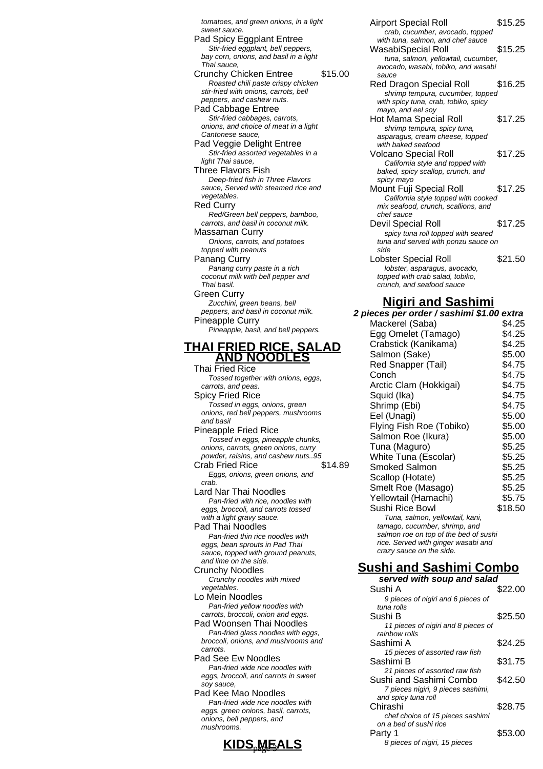tomatoes, and green onions, in a light sweet sauce. Pad Spicy Eggplant Entree Stir-fried eggplant, bell peppers, bay corn, onions, and basil in a light Thai sauce, Crunchy Chicken Entree \$15.00 Roasted chili paste crispy chicken stir-fried with onions, carrots, bell peppers, and cashew nuts. Pad Cabbage Entree Stir-fried cabbages, carrots, onions, and choice of meat in a light Cantonese sauce, Pad Veggie Delight Entree Stir-fried assorted vegetables in a light Thai sauce, Three Flavors Fish Deep-fried fish in Three Flavors sauce. Served with steamed rice and vegetables. Red Curry Red/Green bell peppers, bamboo, carrots, and basil in coconut milk. Massaman Curry Onions, carrots, and potatoes topped with peanuts Panang Curry Panang curry paste in a rich coconut milk with bell pepper and Thai basil. Green Curry Zucchini, green beans, bell peppers, and basil in coconut milk. Pineapple Curry Pineapple, basil, and bell peppers. **THAI FRIED RICE, SALAD AND NOODLES** Thai Fried Rice Tossed together with onions, eggs, carrots, and peas. Spicy Fried Rice Tossed in eggs, onions, green onions, red bell peppers, mushrooms and basil Pineapple Fried Rice Tossed in eggs, pineapple chunks, onions, carrots, green onions, curry powder, raisins, and cashew nuts..95 Crab Fried Rice \$14.89 Eggs, onions, green onions, and crab. Lard Nar Thai Noodles Pan-fried with rice, noodles with eggs, broccoli, and carrots tossed with a light gravy sauce. Pad Thai Noodles Pan-fried thin rice noodles with eggs, bean sprouts in Pad Thai sauce, topped with ground peanuts, and lime on the side. Crunchy Noodles Crunchy noodles with mixed vegetables Lo Mein Noodles Pan-fried yellow noodles with carrots, broccoli, onion and eggs. Pad Woonsen Thai Noodles Pan-fried glass noodles with eggs, broccoli, onions, and mushrooms and carrots. Pad See Ew Noodles Pan-fried wide rice noodles with eggs, broccoli, and carrots in sweet soy sauce,

Pad Kee Mao Noodles Pan-fried wide rice noodles with eggs. green onions, basil, carrots, onions, bell peppers, and mushrooms.



| Airport Special Roll<br>crab, cucumber, avocado, topped                                        | \$15.25 |
|------------------------------------------------------------------------------------------------|---------|
| with tuna, salmon, and chef sauce<br>WasabiSpecial Roll<br>tuna, salmon, yellowtail, cucumber, | \$15.25 |
| avocado, wasabi, tobiko, and wasabi<br>sauce                                                   |         |
| Red Dragon Special Roll<br>shrimp tempura, cucumber, topped                                    | \$16.25 |
| with spicy tuna, crab, tobiko, spicy<br>mayo, and eel soy                                      |         |
| Hot Mama Special Roll                                                                          | \$17.25 |
| shrimp tempura, spicy tuna,<br>asparagus, cream cheese, topped                                 |         |
| with baked seafood                                                                             |         |
| <b>Volcano Special Roll</b>                                                                    | \$17.25 |
| California style and topped with                                                               |         |
| baked, spicy scallop, crunch, and                                                              |         |
| spicy mayo                                                                                     |         |
| Mount Fuji Special Roll                                                                        | \$17.25 |
| California style topped with cooked<br>mix seafood, crunch, scallions, and                     |         |
| chef sauce                                                                                     |         |
| Devil Special Roll                                                                             | \$17.25 |
| spicy tuna roll topped with seared                                                             |         |
| tuna and served with ponzu sauce on                                                            |         |
| side                                                                                           |         |
| Lobster Special Roll                                                                           | \$21.50 |
| lobster, asparagus, avocado,                                                                   |         |
| topped with crab salad, tobiko,                                                                |         |
| crunch. and seafood sauce                                                                      |         |

#### **Nigiri and Sashimi**

**2 pieces per order / sashimi \$1.00 extra** Mackerel (Saba) \$4.25 Egg Omelet (Tamago) \$4.25 Crabstick (Kanikama) \$4.25 Salmon (Sake) \$5.00 Red Snapper (Tail) \$4.75 Conch \$4.75 Arctic Clam (Hokkigai) \$4.75 Squid (Ika)  $$4.75$ Shrimp (Ebi) \$4.75 Eel (Unagi)  $$5.00$ Flying Fish Roe (Tobiko) \$5.00 Salmon Roe (Ikura) \$5.00 Tuna (Maguro) \$5.25 White Tuna (Escolar) \$5.25 Smoked Salmon \$5.25 Scallop (Hotate) \$5.25 Smelt Roe (Masago) \$5.25 Yellowtail (Hamachi)  $$5.75$ <br>Sushi Rice Bowl  $$18.50$ Sushi Rice Bowl Tuna, salmon, yellowtail, kani, tamago, cucumber, shrimp, and salmon roe on top of the bed of sushi rice. Served with ginger wasabi and crazy sauce on the side. **Sushi and Sashimi Combo**

| <u>ichy noodics with mixed</u>                                                                                    | served with soup and salad                                                                    |         |
|-------------------------------------------------------------------------------------------------------------------|-----------------------------------------------------------------------------------------------|---------|
| bles.<br>า Noodles                                                                                                | Sushi A<br>9 pieces of nigiri and 6 pieces of                                                 | \$22.00 |
| fried yellow noodles with<br>, broccoli, onion and eggs.<br>ponsen Thai Noodles<br>fried glass noodles with eggs, | tuna rolls<br>Sushi B<br>11 pieces of nigiri and 8 pieces of<br>rainbow rolls                 | \$25.50 |
| li, onions, and mushrooms and                                                                                     | Sashimi A                                                                                     | \$24.25 |
| e Ew Noodles<br>-fried wide rice noodles with                                                                     | 15 pieces of assorted raw fish<br>Sashimi B<br>21 pieces of assorted raw fish                 | \$31.75 |
| broccoli, and carrots in sweet<br>uce.<br>e Mao Noodles                                                           | Sushi and Sashimi Combo<br>7 pieces nigiri, 9 pieces sashimi,                                 | \$42.50 |
| -fried wide rice noodles with<br>green onions, basil, carrots,<br>, bell peppers, and                             | and spicy tuna roll<br>Chirashi<br>chef choice of 15 pieces sashimi<br>on a bed of sushi rice | \$28.75 |
| ooms.<br>KIDS,MEALS                                                                                               | Party 1<br>8 pieces of nigiri, 15 pieces                                                      | \$53.00 |
|                                                                                                                   |                                                                                               |         |

**served with soup and salad**